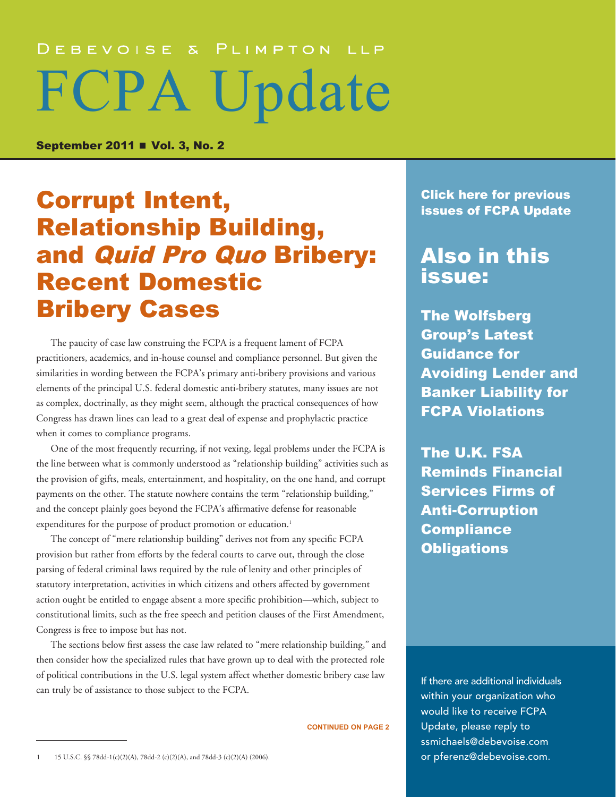# DEBEVOISE & PLIMPTON LLP FCPA Update

September 2011 **■ Vol. 3, No. 2** 

# **Corrupt Intent, Exercise Service Corrupt Intent, Exercise Service Click here for previous Click here for previous** Relationship Building, and Quid Pro Quo Bribery: Recent Domestic Bribery Cases

The paucity of case law construing the FCPA is a frequent lament of FCPA practitioners, academics, and in-house counsel and compliance personnel. But given the similarities in wording between the FCPA's primary anti-bribery provisions and various elements of the principal U.S. federal domestic anti-bribery statutes, many issues are not as complex, doctrinally, as they might seem, although the practical consequences of how Congress has drawn lines can lead to a great deal of expense and prophylactic practice when it comes to compliance programs.

One of the most frequently recurring, if not vexing, legal problems under the FCPA is the line between what is commonly understood as "relationship building" activities such as the provision of gifts, meals, entertainment, and hospitality, on the one hand, and corrupt payments on the other. The statute nowhere contains the term "relationship building," and the concept plainly goes beyond the FCPA's affirmative defense for reasonable expenditures for the purpose of product promotion or education.<sup>1</sup>

The concept of "mere relationship building" derives not from any specific FCPA provision but rather from efforts by the federal courts to carve out, through the close parsing of federal criminal laws required by the rule of lenity and other principles of statutory interpretation, activities in which citizens and others affected by government action ought be entitled to engage absent a more specific prohibition—which, subject to constitutional limits, such as the free speech and petition clauses of the First Amendment, Congress is free to impose but has not.

The sections below first assess the case law related to "mere relationship building," and then consider how the specialized rules that have grown up to deal with the protected role of political contributions in the U.S. legal system affect whether domestic bribery case law can truly be of assistance to those subject to the FCPA.

**CONTINUED ON PAGE 2**

### Also in this issue:

[The Wolfsberg](#page-4-0)  [Group's Latest](#page-4-0)  [Guidance for](#page-4-0)  [Avoiding Lender and](#page-4-0)  [Banker Liability for](#page-4-0)  [FCPA Violations](#page-4-0)

[The U.K. FSA](#page-6-0)  [Reminds Financial](#page-6-0)  [Services Firms of](#page-6-0)  [Anti-Corruption](#page-6-0)  **Compliance [Obligations](#page-6-0)** 

If there are additional individuals within your organization who would like to receive FCPA Update, please reply to ssmichaels@debevoise.com or pferenz@debevoise.com.

<sup>1</sup> 15 U.S.C. §§ 78dd-1(c)(2)(A), 78dd-2 (c)(2)(A), and 78dd-3 (c)(2)(A) (2006).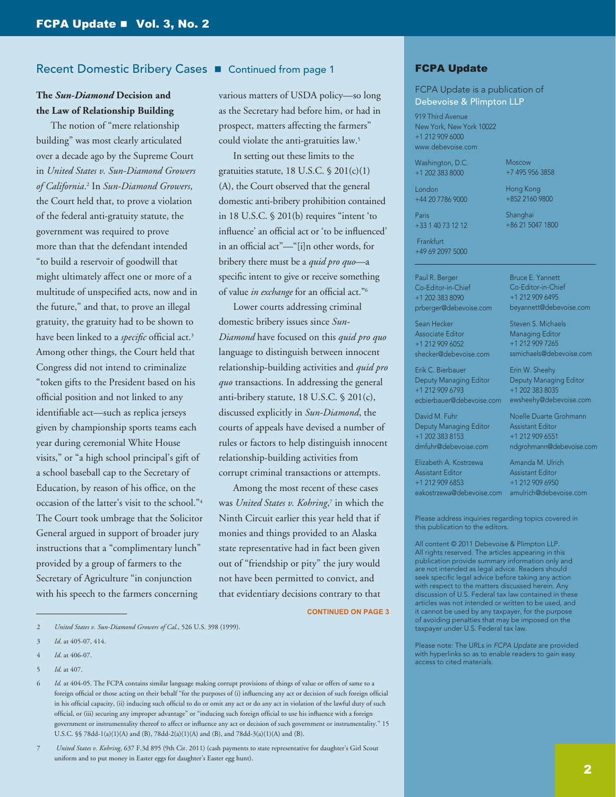#### Recent Domestic Bribery Cases **n** Continued from page 1

#### **The** *Sun-Diamond* **Decision and the Law of Relationship Building**

The notion of "mere relationship building" was most clearly articulated over a decade ago by the Supreme Court in *United States v. Sun-Diamond Growers of California*. 2 In *Sun-Diamond Growers*, the Court held that, to prove a violation of the federal anti-gratuity statute, the government was required to prove more than that the defendant intended "to build a reservoir of goodwill that might ultimately affect one or more of a multitude of unspecified acts, now and in the future," and that, to prove an illegal gratuity, the gratuity had to be shown to have been linked to a *specific* official act.3 Among other things, the Court held that Congress did not intend to criminalize "token gifts to the President based on his official position and not linked to any identifiable act—such as replica jerseys given by championship sports teams each year during ceremonial White House visits," or "a high school principal's gift of a school baseball cap to the Secretary of Education, by reason of his office, on the occasion of the latter's visit to the school."4 The Court took umbrage that the Solicitor General argued in support of broader jury instructions that a "complimentary lunch" provided by a group of farmers to the Secretary of Agriculture "in conjunction with his speech to the farmers concerning

various matters of USDA policy—so long as the Secretary had before him, or had in prospect, matters affecting the farmers" could violate the anti-gratuities law.5

In setting out these limits to the gratuities statute, 18 U.S.C. § 201(c)(1) (A), the Court observed that the general domestic anti-bribery prohibition contained in 18 U.S.C. § 201(b) requires "intent 'to influence' an official act or 'to be influenced' in an official act"—"[i]n other words, for bribery there must be a *quid pro quo*—a specific intent to give or receive something of value *in exchange* for an official act."6

Lower courts addressing criminal domestic bribery issues since *Sun-Diamond* have focused on this *quid pro quo* language to distinguish between innocent relationship-building activities and *quid pro quo* transactions. In addressing the general anti-bribery statute, 18 U.S.C. § 201(c), discussed explicitly in *Sun-Diamond*, the courts of appeals have devised a number of rules or factors to help distinguish innocent relationship-building activities from corrupt criminal transactions or attempts.

Among the most recent of these cases was *United States v. Kohring*, 7 in which the Ninth Circuit earlier this year held that if monies and things provided to an Alaska state representative had in fact been given out of "friendship or pity" the jury would not have been permitted to convict, and that evidentiary decisions contrary to that

**CONTINUED ON PAGE 3**

5 *Id.* at 407.

7 *United States v. Kohring*, 637 F.3d 895 (9th Cir. 2011) (cash payments to state representative for daughter's Girl Scout uniform and to put money in Easter eggs for daughter's Easter egg hunt).

#### FCPA Update

FCPA Update is a publication of Debevoise & Plimpton LLP

919 Third Avenue New York, New York 10022 +1 212 909 6000 www.debevoise.com

Washington, D.C. +1 202 383 8000

London

Moscow +7 495 956 3858

+44 20 7786 9000 Paris +33 1 40 73 12 12

Hong Kong +852 2160 9800

Shanghai +86 21 5047 1800

 Frankfurt +49 69 2097 5000

Paul R. Berger Co-Editor-in-Chief +1 202 383 8090 prberger@debevoise.com

Sean Hecker Associate Editor +1 212 909 6052 shecker@debevoise.com

Erik C. Bierbauer Deputy Managing Editor +1 212 909 6793 ecbierbauer@debevoise.com

David M. Fuhr Deputy Managing Editor +1 202 383 8153 dmfuhr@debevoise.com

Elizabeth A. Kostrzewa Assistant Editor +1 212 909 6853

Bruce E. Yannett Co-Editor-in-Chief +1 212 909 6495 beyannett@debevoise.com

Steven S. Michaels Managing Editor +1 212 909 7265 ssmichaels@debevoise.com

Erin W. Sheehy Deputy Managing Editor +1 202 383 8035 ewsheehy@debevoise.com

Noelle Duarte Grohmann Assistant Editor +1 212 909 6551 ndgrohmann@debevoise.com

Amanda M. Ulrich Assistant Editor +1 212 909 6950 eakostrzewa@debevoise.com amulrich@debevoise.com

Please address inquiries regarding topics covered in this publication to the editors.

All content © 2011 Debevoise & Plimpton LLP. All rights reserved. The articles appearing in this publication provide summary information only and are not intended as legal advice. Readers should seek specific legal advice before taking any action with respect to the matters discussed herein. Any discussion of U.S. Federal tax law contained in these articles was not intended or written to be used, and it cannot be used by any taxpayer, for the purpose of avoiding penalties that may be imposed on the taxpayer under U.S. Federal tax law.

Please note: The URLs in *FCPA Update* are provided with hyperlinks so as to enable readers to gain easy access to cited materials.

<sup>2</sup> *United States v. Sun-Diamond Growers of Cal.*, 526 U.S. 398 (1999).

<sup>3</sup> *Id*. at 405-07, 414.

<sup>4</sup> *Id*. at 406-07.

<sup>6</sup> *Id.* at 404-05. The FCPA contains similar language making corrupt provisions of things of value or offers of same to a foreign official or those acting on their behalf "for the purposes of (i) influencing any act or decision of such foreign official in his official capacity, (ii) inducing such official to do or omit any act or do any act in violation of the lawful duty of such official, or (iii) securing any improper advantage" or "inducing such foreign official to use his influence with a foreign government or instrumentality thereof to affect or influence any act or decision of such government or instrumentality." 15 U.S.C. §§ 78dd-1(a)(1)(A) and (B), 78dd-2(a)(1)(A) and (B), and 78dd-3(a)(1)(A) and (B).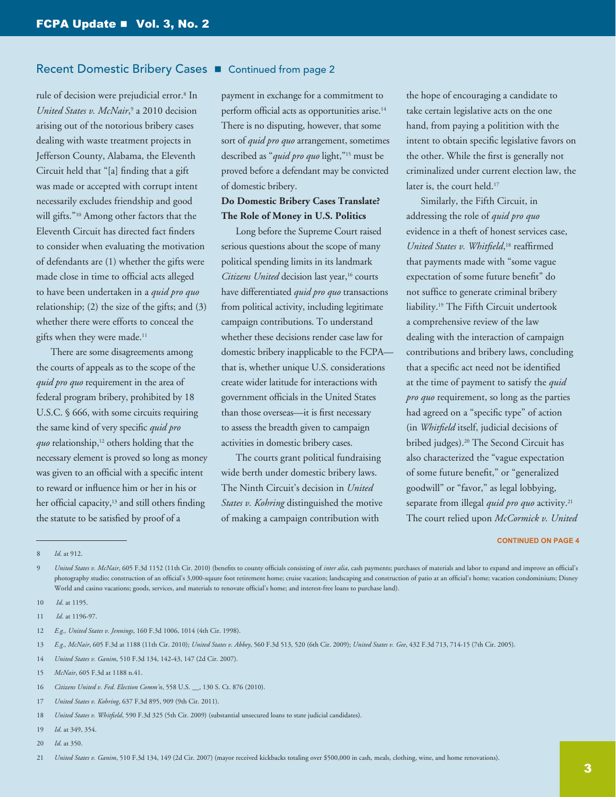#### Recent Domestic Bribery Cases ■ Continued from page 2

rule of decision were prejudicial error.8 In United States v. McNair,<sup>9</sup> a 2010 decision arising out of the notorious bribery cases dealing with waste treatment projects in Jefferson County, Alabama, the Eleventh Circuit held that "[a] finding that a gift was made or accepted with corrupt intent necessarily excludes friendship and good will gifts."10 Among other factors that the Eleventh Circuit has directed fact finders to consider when evaluating the motivation of defendants are (1) whether the gifts were made close in time to official acts alleged to have been undertaken in a *quid pro quo*  relationship; (2) the size of the gifts; and (3) whether there were efforts to conceal the gifts when they were made.<sup>11</sup>

There are some disagreements among the courts of appeals as to the scope of the *quid pro quo* requirement in the area of federal program bribery, prohibited by 18 U.S.C. § 666, with some circuits requiring the same kind of very specific *quid pro*  quo relationship,<sup>12</sup> others holding that the necessary element is proved so long as money was given to an official with a specific intent to reward or influence him or her in his or her official capacity,<sup>13</sup> and still others finding the statute to be satisfied by proof of a

payment in exchange for a commitment to perform official acts as opportunities arise.14 There is no disputing, however, that some sort of *quid pro quo* arrangement, sometimes described as "*quid pro quo* light,"15 must be proved before a defendant may be convicted of domestic bribery.

#### **Do Domestic Bribery Cases Translate? The Role of Money in U.S. Politics**

Long before the Supreme Court raised serious questions about the scope of many political spending limits in its landmark Citizens United decision last year,<sup>16</sup> courts have differentiated *quid pro quo* transactions from political activity, including legitimate campaign contributions. To understand whether these decisions render case law for domestic bribery inapplicable to the FCPA that is, whether unique U.S. considerations create wider latitude for interactions with government officials in the United States than those overseas—it is first necessary to assess the breadth given to campaign activities in domestic bribery cases.

The courts grant political fundraising wide berth under domestic bribery laws. The Ninth Circuit's decision in *United States v. Kohring* distinguished the motive of making a campaign contribution with

the hope of encouraging a candidate to take certain legislative acts on the one hand, from paying a politition with the intent to obtain specific legislative favors on the other. While the first is generally not criminalized under current election law, the later is, the court held.<sup>17</sup>

Similarly, the Fifth Circuit, in addressing the role of *quid pro quo* evidence in a theft of honest services case, *United States v. Whitfield*, 18 reaffirmed that payments made with "some vague expectation of some future benefit" do not suffice to generate criminal bribery liability.19 The Fifth Circuit undertook a comprehensive review of the law dealing with the interaction of campaign contributions and bribery laws, concluding that a specific act need not be identified at the time of payment to satisfy the *quid pro quo* requirement, so long as the parties had agreed on a "specific type" of action (in *Whitfield* itself, judicial decisions of bribed judges).20 The Second Circuit has also characterized the "vague expectation of some future benefit," or "generalized goodwill" or "favor," as legal lobbying, separate from illegal *quid pro quo* activity.21 The court relied upon *McCormick v. United* 

#### **CONTINUED ON PAGE 4**

14 *United States v. Ganim*, 510 F.3d 134, 142-43, 147 (2d Cir. 2007).

- 16 *Citizens United v. Fed. Election Comm'n*, 558 U.S. \_\_, 130 S. Ct. 876 (2010).
- 17 *United States v. Kohring*, 637 F.3d 895, 909 (9th Cir. 2011).
- 18 *United States v. Whitfield*, 590 F.3d 325 (5th Cir. 2009) (substantial unsecured loans to state judicial candidates).
- 19 *Id*. at 349, 354.
- 20 *Id*. at 350.

<sup>8</sup> *Id*. at 912.

<sup>9</sup> *United States v. McNair*, 605 F.3d 1152 (11th Cir. 2010) (benefits to county officials consisting of *inter alia*, cash payments; purchases of materials and labor to expand and improve an official's photography studio; construction of an official's 3,000-sqaure foot retirement home; cruise vacation; landscaping and construction of patio at an official's home; vacation condominium; Disney World and casino vacations; goods, services, and materials to renovate official's home; and interest-free loans to purchase land).

<sup>10</sup> *Id*. at 1195.

<sup>11</sup> *Id*. at 1196-97.

<sup>12</sup> *E.g., United States v. Jennings*, 160 F.3d 1006, 1014 (4th Cir. 1998).

<sup>13</sup> *E.g., McNair*, 605 F.3d at 1188 (11th Cir. 2010); *United States v. Abbey*, 560 F.3d 513, 520 (6th Cir. 2009); *United States v. Gee*, 432 F.3d 713, 714-15 (7th Cir. 2005).

<sup>15</sup> *McNair*, 605 F.3d at 1188 n.41.

<sup>21</sup> *United States v. Ganim*, 510 F.3d 134, 149 (2d Cir. 2007) (mayor received kickbacks totaling over \$500,000 in cash, meals, clothing, wine, and home renovations).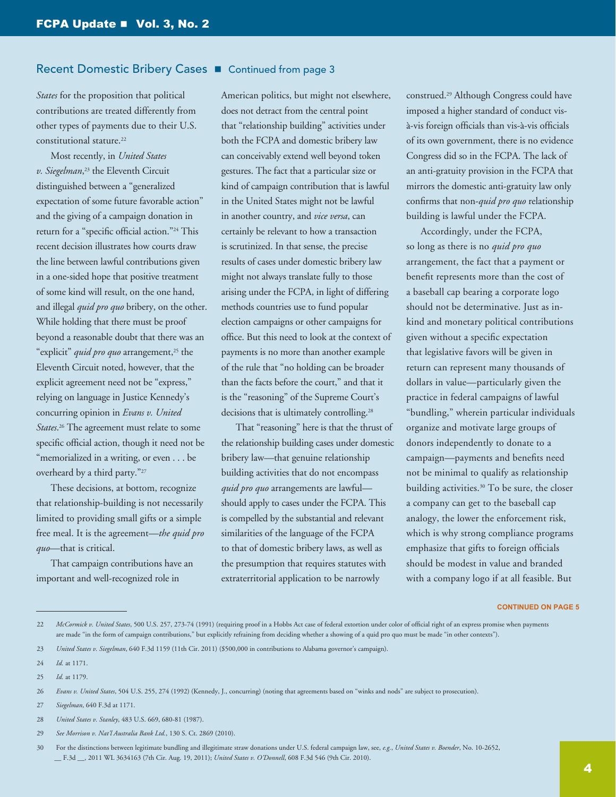#### Recent Domestic Bribery Cases  $\blacksquare$  Continued from page 3

*States* for the proposition that political contributions are treated differently from other types of payments due to their U.S. constitutional stature.<sup>22</sup>

Most recently, in *United States v. Siegelman*, 23 the Eleventh Circuit distinguished between a "generalized expectation of some future favorable action" and the giving of a campaign donation in return for a "specific official action."24 This recent decision illustrates how courts draw the line between lawful contributions given in a one-sided hope that positive treatment of some kind will result, on the one hand, and illegal *quid pro quo* bribery, on the other. While holding that there must be proof beyond a reasonable doubt that there was an "explicit" *quid pro quo* arrangement,<sup>25</sup> the Eleventh Circuit noted, however, that the explicit agreement need not be "express," relying on language in Justice Kennedy's concurring opinion in *Evans v. United States*. 26 The agreement must relate to some specific official action, though it need not be "memorialized in a writing, or even . . . be overheard by a third party."27

These decisions, at bottom, recognize that relationship-building is not necessarily limited to providing small gifts or a simple free meal. It is the agreement*—the quid pro quo*—that is critical.

That campaign contributions have an important and well-recognized role in

American politics, but might not elsewhere, does not detract from the central point that "relationship building" activities under both the FCPA and domestic bribery law can conceivably extend well beyond token gestures. The fact that a particular size or kind of campaign contribution that is lawful in the United States might not be lawful in another country, and *vice versa*, can certainly be relevant to how a transaction is scrutinized. In that sense, the precise results of cases under domestic bribery law might not always translate fully to those arising under the FCPA, in light of differing methods countries use to fund popular election campaigns or other campaigns for office. But this need to look at the context of payments is no more than another example of the rule that "no holding can be broader than the facts before the court," and that it is the "reasoning" of the Supreme Court's decisions that is ultimately controlling.<sup>28</sup>

That "reasoning" here is that the thrust of the relationship building cases under domestic bribery law—that genuine relationship building activities that do not encompass *quid pro quo* arrangements are lawful should apply to cases under the FCPA. This is compelled by the substantial and relevant similarities of the language of the FCPA to that of domestic bribery laws, as well as the presumption that requires statutes with extraterritorial application to be narrowly

construed.29 Although Congress could have imposed a higher standard of conduct visà-vis foreign officials than vis-à-vis officials of its own government, there is no evidence Congress did so in the FCPA. The lack of an anti-gratuity provision in the FCPA that mirrors the domestic anti-gratuity law only confirms that non-*quid pro quo* relationship building is lawful under the FCPA.

Accordingly, under the FCPA, so long as there is no *quid pro quo* arrangement, the fact that a payment or benefit represents more than the cost of a baseball cap bearing a corporate logo should not be determinative. Just as inkind and monetary political contributions given without a specific expectation that legislative favors will be given in return can represent many thousands of dollars in value—particularly given the practice in federal campaigns of lawful "bundling," wherein particular individuals organize and motivate large groups of donors independently to donate to a campaign—payments and benefits need not be minimal to qualify as relationship building activities.30 To be sure, the closer a company can get to the baseball cap analogy, the lower the enforcement risk, which is why strong compliance programs emphasize that gifts to foreign officials should be modest in value and branded with a company logo if at all feasible. But

**CONTINUED ON PAGE 5**

<sup>22</sup> *McCormick v. United States*, 500 U.S. 257, 273-74 (1991) (requiring proof in a Hobbs Act case of federal extortion under color of official right of an express promise when payments are made "in the form of campaign contributions," but explicitly refraining from deciding whether a showing of a quid pro quo must be made "in other contexts").

<sup>23</sup> *United States v. Siegelman*, 640 F.3d 1159 (11th Cir. 2011) (\$500,000 in contributions to Alabama governor's campaign).

<sup>24</sup> *Id.* at 1171.

<sup>25</sup> *Id.* at 1179.

<sup>26</sup> *Evans v. United States*, 504 U.S. 255, 274 (1992) (Kennedy, J., concurring) (noting that agreements based on "winks and nods" are subject to prosecution).

<sup>27</sup> *Siegelman*, 640 F.3d at 1171.

<sup>28</sup> *United States v. Stanley*, 483 U.S. 669, 680-81 (1987).

<sup>29</sup> *See Morrison v. Nat'l Australia Bank Ltd.*, 130 S. Ct. 2869 (2010).

<sup>30</sup> For the distinctions between legitimate bundling and illegitimate straw donations under U.S. federal campaign law, see, *e.g.*, *United States v. Boender*, No. 10-2652, \_\_ F.3d \_\_, 2011 WL 3634163 (7th Cir. Aug. 19, 2011); *United States v. O'Donnell*, 608 F.3d 546 (9th Cir. 2010).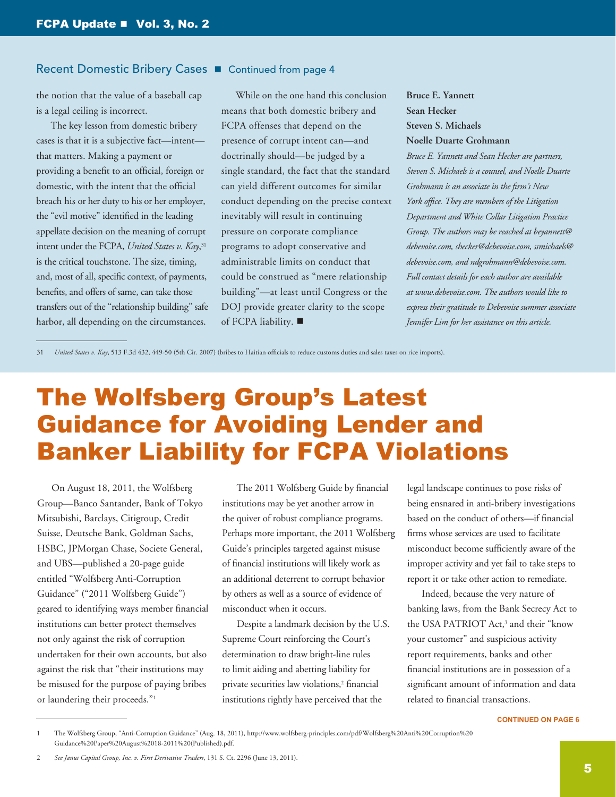#### <span id="page-4-0"></span>Recent Domestic Bribery Cases **n** Continued from page 4

the notion that the value of a baseball cap is a legal ceiling is incorrect.

The key lesson from domestic bribery cases is that it is a subjective fact—intent that matters. Making a payment or providing a benefit to an official, foreign or domestic, with the intent that the official breach his or her duty to his or her employer, the "evil motive" identified in the leading appellate decision on the meaning of corrupt intent under the FCPA, *United States v. Kay*, 31 is the critical touchstone. The size, timing, and, most of all, specific context, of payments, benefits, and offers of same, can take those transfers out of the "relationship building" safe harbor, all depending on the circumstances.

While on the one hand this conclusion means that both domestic bribery and FCPA offenses that depend on the presence of corrupt intent can—and doctrinally should—be judged by a single standard, the fact that the standard can yield different outcomes for similar conduct depending on the precise context inevitably will result in continuing pressure on corporate compliance programs to adopt conservative and administrable limits on conduct that could be construed as "mere relationship building"—at least until Congress or the DOJ provide greater clarity to the scope of FCPA liability.  $\blacksquare$ 

**Bruce E. Yannett Sean Hecker Steven S. Michaels Noelle Duarte Grohmann**

*Bruce E. Yannett and Sean Hecker are partners, Steven S. Michaels is a counsel, and Noelle Duarte Grohmann is an associate in the firm's New York office. They are members of the Litigation Department and White Collar Litigation Practice Group. The authors may be reached at beyannett@ debevoise.com, shecker@debevoise.com, ssmichaels@ debevoise.com, and ndgrohmann@debevoise.com. Full contact details for each author are available at www.debevoise.com. The authors would like to express their gratitude to Debevoise summer associate Jennifer Lim for her assistance on this article.*

31 *United States v. Kay*, 513 F.3d 432, 449-50 (5th Cir. 2007) (bribes to Haitian officials to reduce customs duties and sales taxes on rice imports).

# The Wolfsberg Group's Latest Guidance for Avoiding Lender and Banker Liability for FCPA Violations

On August 18, 2011, the Wolfsberg Group—Banco Santander, Bank of Tokyo Mitsubishi, Barclays, Citigroup, Credit Suisse, Deutsche Bank, Goldman Sachs, HSBC, JPMorgan Chase, Societe General, and UBS—published a 20-page guide entitled "Wolfsberg Anti-Corruption Guidance" ("2011 Wolfsberg Guide") geared to identifying ways member financial institutions can better protect themselves not only against the risk of corruption undertaken for their own accounts, but also against the risk that "their institutions may be misused for the purpose of paying bribes or laundering their proceeds."<sup>1</sup>

The 2011 Wolfsberg Guide by financial institutions may be yet another arrow in the quiver of robust compliance programs. Perhaps more important, the 2011 Wolfsberg Guide's principles targeted against misuse of financial institutions will likely work as an additional deterrent to corrupt behavior by others as well as a source of evidence of misconduct when it occurs.

Despite a landmark decision by the U.S. Supreme Court reinforcing the Court's determination to draw bright-line rules to limit aiding and abetting liability for private securities law violations,<sup>2</sup> financial institutions rightly have perceived that the

legal landscape continues to pose risks of being ensnared in anti-bribery investigations based on the conduct of others—if financial firms whose services are used to facilitate misconduct become sufficiently aware of the improper activity and yet fail to take steps to report it or take other action to remediate.

Indeed, because the very nature of banking laws, from the Bank Secrecy Act to the USA PATRIOT Act,<sup>3</sup> and their "know your customer" and suspicious activity report requirements, banks and other financial institutions are in possession of a significant amount of information and data related to financial transactions.

**CONTINUED ON PAGE 6**

<sup>1</sup> The Wolfsberg Group, "Anti-Corruption Guidance" (Aug. 18, 2011), [http://www.wolfsberg-principles.com/pdf/Wolfsberg%20Anti%20Corruption%20](http://www.wolfsberg-principles.com/pdf/Wolfsberg%20Anti%20Corruption%20
Guidance%20Paper%20August%2018-2011%20(Published).pdf)  [Guidance%20Paper%20August%2018-2011%20\(Published\).pdf.](http://www.wolfsberg-principles.com/pdf/Wolfsberg%20Anti%20Corruption%20
Guidance%20Paper%20August%2018-2011%20(Published).pdf)

<sup>2</sup> *See Janus Capital Group, Inc. v. First Derivative Traders*, 131 S. Ct. 2296 (June 13, 2011).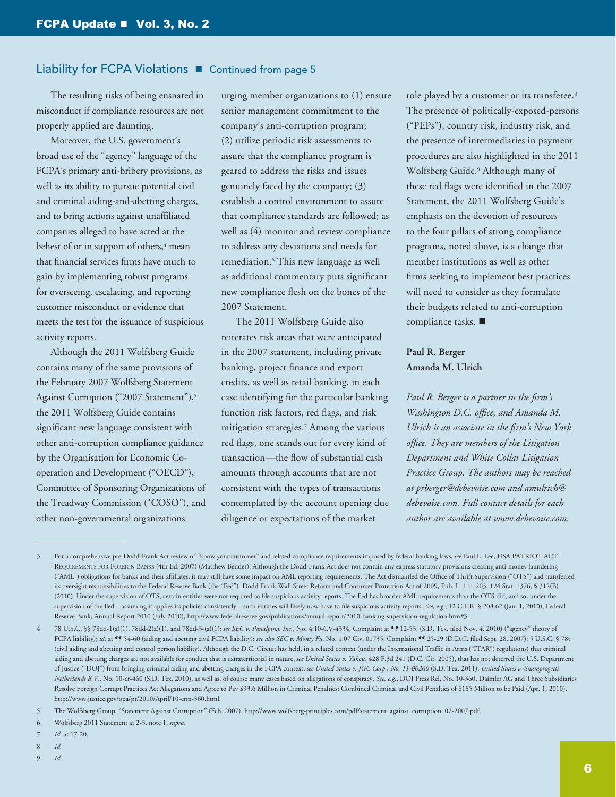#### Liability for FCPA Violations **n** Continued from page 5

The resulting risks of being ensnared in misconduct if compliance resources are not properly applied are daunting.

Moreover, the U.S. government's broad use of the "agency" language of the FCPA's primary anti-bribery provisions, as well as its ability to pursue potential civil and criminal aiding-and-abetting charges, and to bring actions against unaffiliated companies alleged to have acted at the behest of or in support of others,<sup>4</sup> mean that financial services firms have much to gain by implementing robust programs for overseeing, escalating, and reporting customer misconduct or evidence that meets the test for the issuance of suspicious activity reports.

Although the 2011 Wolfsberg Guide contains many of the same provisions of the February 2007 Wolfsberg Statement Against Corruption ("2007 Statement"),<sup>5</sup> the 2011 Wolfsberg Guide contains significant new language consistent with other anti-corruption compliance guidance by the Organisation for Economic Cooperation and Development ("OECD"), Committee of Sponsoring Organizations of the Treadway Commission ("COSO"), and other non-governmental organizations

urging member organizations to (1) ensure senior management commitment to the company's anti-corruption program; (2) utilize periodic risk assessments to assure that the compliance program is geared to address the risks and issues genuinely faced by the company; (3) establish a control environment to assure that compliance standards are followed; as well as (4) monitor and review compliance to address any deviations and needs for remediation.6 This new language as well as additional commentary puts significant new compliance flesh on the bones of the 2007 Statement.

The 2011 Wolfsberg Guide also reiterates risk areas that were anticipated in the 2007 statement, including private banking, project finance and export credits, as well as retail banking, in each case identifying for the particular banking function risk factors, red flags, and risk mitigation strategies.7 Among the various red flags, one stands out for every kind of transaction—the flow of substantial cash amounts through accounts that are not consistent with the types of transactions contemplated by the account opening due diligence or expectations of the market

role played by a customer or its transferee.<sup>8</sup> The presence of politically-exposed-persons ("PEPs"), country risk, industry risk, and the presence of intermediaries in payment procedures are also highlighted in the 2011 Wolfsberg Guide.9 Although many of these red flags were identified in the 2007 Statement, the 2011 Wolfsberg Guide's emphasis on the devotion of resources to the four pillars of strong compliance programs, noted above, is a change that member institutions as well as other firms seeking to implement best practices will need to consider as they formulate their budgets related to anti-corruption compliance tasks.  $\blacksquare$ 

#### **Paul R. Berger Amanda M. Ulrich**

*Paul R. Berger is a partner in the firm's Washington D.C. office, and Amanda M. Ulrich is an associate in the firm's New York office. They are members of the Litigation Department and White Collar Litigation Practice Group. The authors may be reached at prberger@debevoise.com and amulrich@ debevoise.com. Full contact details for each author are available at www.debevoise.com.* 

- 8 *Id.*
- 9 *Id.*

<sup>3</sup> For a comprehensive pre-Dodd-Frank Act review of "know your customer" and related compliance requirements imposed by federal banking laws, *see* Paul L. Lee, USA PATRIOT ACT REQUIREMENTS FOR FOREIGN BANKS (4th Ed. 2007) (Matthew Bender). Although the Dodd-Frank Act does not contain any express statutory provisions creating anti-money laundering ("AML") obligations for banks and their affiliates, it may still have some impact on AML reporting requirements. The Act dismantled the Office of Thrift Supervision ("OTS") and transferred its oversight responsibilities to the Federal Reserve Bank (the "Fed"). Dodd Frank Wall Street Reform and Consumer Protection Act of 2009, Pub. L. 111-203, 124 Stat. 1376, § 312(B) (2010). Under the supervision of OTS, certain entities were not required to file suspicious activity reports. The Fed has broader AML requirements than the OTS did, and so, under the supervision of the Fed—assuming it applies its policies consistently—such entities will likely now have to file suspicious activity reports. See, e.g., 12 C.F.R. § 208.62 (Jan. 1, 2010); Federal Reserve Bank, Annual Report 2010 (July 2010), http://www.federalreserve.gov/publications/annual-report/2010-banking-supervision-regulation.htm#3.

<sup>4</sup> 78 U.S.C. §§ 78dd-1(a)(1), 78dd-2(a)(1), and 78dd-3-(a)(1); *see SEC v. Panalpina, Inc.*, No. 4:10-CV-4334, Complaint at ¶*¶* 12-53, (S.D. Tex. filed Nov. 4, 2010) ("agency" theory of FCPA liability); *id.* at ¶¶ 54-60 (aiding and abetting civil FCPA liability); *see also SEC v. Monty Fu*, No. 1:07 Civ. 01735, Complaint ¶¶ 25-29 (D.D.C. filed Sept. 28, 2007); 5 U.S.C. § 78t (civil aiding and abetting and control person liability). Although the D.C. Circuit has held, in a related context (under the International Traffic in Arms ("ITAR") regulations) that criminal aiding and abetting charges are not available for conduct that is extraterritorial in nature, *see United States v. Yakou*, 428 F.3d 241 (D.C. Cir. 2005), that has not deterred the U.S. Department of Justice ("DOJ") from bringing criminal aiding and abetting charges in the FCPA context, *see United States v. JGC Corp., No. 11-00260* (S.D. Tex. 2011); *United States v. Snamprogetti Netherlands B.V.*, No. 10-cr-460 (S.D. Tex. 2010), as well as, of course many cases based on allegations of conspiracy. *See, e.g.*, DOJ Press Rel. No. 10-360, Daimler AG and Three Subsidiaries Resolve Foreign Corrupt Practices Act allegations and Agree to Pay \$93.6 Million in Criminal Penalties; Combined Criminal and Civil Penalties of \$185 Million to be Paid (Apr. 1, 2010), <http://www.justice.gov/opa/pr/2010/April/10-crm-360.html>.

<sup>5</sup> The Wolfsberg Group, "Statement Against Corruption" (Feb. 2007), [http://www.wolfsberg-principles.com/pdf/statement\\_against\\_corruption\\_02-2007.pdf](http://www.wolfsberg-principles.com/pdf/statement_against_corruption_02-2007.pdf).

<sup>6</sup> Wolfsberg 2011 Statement at 2-3, note 1, *supra.*

<sup>7</sup> *Id.* at 17-20.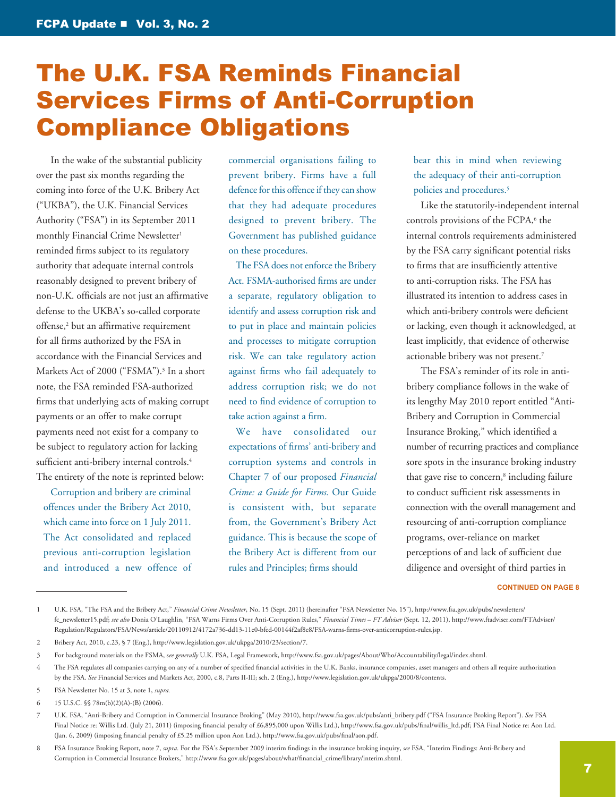### <span id="page-6-0"></span>The U.K. FSA Reminds Financial Services Firms of Anti-Corruption Compliance Obligations

In the wake of the substantial publicity over the past six months regarding the coming into force of the U.K. Bribery Act ("UKBA"), the U.K. Financial Services Authority ("FSA") in its September 2011 monthly Financial Crime Newsletter<sup>1</sup> reminded firms subject to its regulatory authority that adequate internal controls reasonably designed to prevent bribery of non-U.K. officials are not just an affirmative defense to the UKBA's so-called corporate offense,2 but an affirmative requirement for all firms authorized by the FSA in accordance with the Financial Services and Markets Act of 2000 ("FSMA").<sup>3</sup> In a short note, the FSA reminded FSA-authorized firms that underlying acts of making corrupt payments or an offer to make corrupt payments need not exist for a company to be subject to regulatory action for lacking sufficient anti-bribery internal controls.<sup>4</sup> The entirety of the note is reprinted below:

Corruption and bribery are criminal offences under the Bribery Act 2010, which came into force on 1 July 2011. The Act consolidated and replaced previous anti-corruption legislation and introduced a new offence of commercial organisations failing to prevent bribery. Firms have a full defence for this offence if they can show that they had adequate procedures designed to prevent bribery. The Government has published guidance on these procedures.

The FSA does not enforce the Bribery Act. FSMA-authorised firms are under a separate, regulatory obligation to identify and assess corruption risk and to put in place and maintain policies and processes to mitigate corruption risk. We can take regulatory action against firms who fail adequately to address corruption risk; we do not need to find evidence of corruption to take action against a firm.

We have consolidated our expectations of firms' anti-bribery and corruption systems and controls in Chapter 7 of our proposed *Financial Crime: a Guide for Firms.* Our Guide is consistent with, but separate from, the Government's Bribery Act guidance. This is because the scope of the Bribery Act is different from our rules and Principles; firms should

bear this in mind when reviewing the adequacy of their anti-corruption policies and procedures.5

Like the statutorily-independent internal controls provisions of the FCPA,<sup>6</sup> the internal controls requirements administered by the FSA carry significant potential risks to firms that are insufficiently attentive to anti-corruption risks. The FSA has illustrated its intention to address cases in which anti-bribery controls were deficient or lacking, even though it acknowledged, at least implicitly, that evidence of otherwise actionable bribery was not present.7

The FSA's reminder of its role in antibribery compliance follows in the wake of its lengthy May 2010 report entitled "Anti-Bribery and Corruption in Commercial Insurance Broking," which identified a number of recurring practices and compliance sore spots in the insurance broking industry that gave rise to concern,<sup>8</sup> including failure to conduct sufficient risk assessments in connection with the overall management and resourcing of anti-corruption compliance programs, over-reliance on market perceptions of and lack of sufficient due diligence and oversight of third parties in

#### **CONTINUED ON PAGE 8**

<sup>1</sup> U.K. FSA, "The FSA and the Bribery Act," *Financial Crime Newsletter*, No. 15 (Sept. 2011) (hereinafter "FSA Newsletter No. 15"), [http://www.fsa.gov.uk/pubs/newsletters/](http://www.fsa.gov.uk/pubs/newsletters/fc_newsletter15.pdf) [fc\\_newsletter15.pdf](http://www.fsa.gov.uk/pubs/newsletters/fc_newsletter15.pdf); *see also* Donia O'Laughlin, "FSA Warns Firms Over Anti-Corruption Rules," *Financial Times* – *FT Adviser* (Sept. 12, 2011), [http://www.ftadviser.com/FTAdviser/](http://www.ftadviser.com/FTAdviser/Regulation/Regulators/FSA/News/article/20110912/4172a736-dd13-11e0-bfed-00144f2af8e8/FSA-warns-firms-over-anticorruption-rules.jsp) [Regulation/Regulators/FSA/News/article/20110912/4172a736-dd13-11e0-bfed-00144f2af8e8/FSA-warns-firms-over-anticorruption-rules.jsp.](http://www.ftadviser.com/FTAdviser/Regulation/Regulators/FSA/News/article/20110912/4172a736-dd13-11e0-bfed-00144f2af8e8/FSA-warns-firms-over-anticorruption-rules.jsp)

<sup>2</sup> Bribery Act, 2010, c.23, § 7 (Eng.),<http://www.legislation.gov.uk/ukpga/2010/23/section/7>.

<sup>3</sup> For background materials on the FSMA, s*ee generally* U.K. FSA, Legal Framework, [http://www.fsa.gov.uk/pages/About/Who/Accountability/legal/index.shtml.](http://www.fsa.gov.uk/pages/About/Who/Accountability/legal/index.shtml)

<sup>4</sup> The FSA regulates all companies carrying on any of a number of specified financial activities in the U.K. Banks, insurance companies, asset managers and others all require authorization by the FSA. *See* Financial Services and Markets Act, 2000, c.8, Parts II-III; sch. 2 (Eng.),<http://www.legislation.gov.uk/ukpga/2000/8/contents>.

<sup>5</sup> FSA Newsletter No. 15 at 3, note 1, *supra.*

<sup>6</sup> 15 U.S.C. §§ 78m(b)(2)(A)-(B) (2006).

<sup>7</sup> U.K. FSA, "Anti-Bribery and Corruption in Commercial Insurance Broking" (May 2010), [http://www.fsa.gov.uk/pubs/anti\\_bribery.pdf](http://www.fsa.gov.uk/pubs/anti_bribery.pdf) ("FSA Insurance Broking Report"). *See* FSA Final Notice re: Willis Ltd. (July 21, 2011) (imposing financial penalty of £6,895,000 upon Willis Ltd.), [http://www.fsa.gov.uk/pubs/final/willis\\_ltd.pdf;](http://www.fsa.gov.uk/pubs/final/willis_ltd.pdf) FSA Final Notice re: Aon Ltd. (Jan. 6, 2009) (imposing financial penalty of £5.25 million upon Aon Ltd.),<http://www.fsa.gov.uk/pubs/final/aon.pdf>.

<sup>8</sup> FSA Insurance Broking Report, note 7, *supra*. For the FSA's September 2009 interim findings in the insurance broking inquiry, *see* FSA, "Interim Findings: Anti-Bribery and Corruption in Commercial Insurance Brokers," http://www.fsa.gov.uk/pages/about/what/financial\_crime/library/interim.shtml.